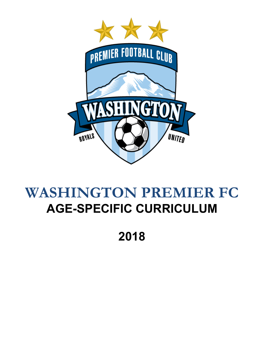

# **WASHINGTON PREMIER FC AGE-SPECIFIC CURRICULUM**

**2018**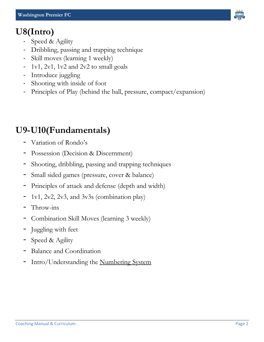

- Speed & Agility
- Dribbling, passing and trapping technique
- Skill moves (learning 1 weekly)
- 1v1, 2v1, 1v2 and 2v2 to small goals
- Introduce juggling
- Shooting with inside of foot
- Principles of Play (behind the ball, pressure, compact/expansion)

#### **U9-U10(Fundamentals)**

- Variation of Rondo's
- Possession (Decision & Discernment)
- Shooting, dribbling, passing and trapping techniques
- Small sided games (pressure, cover & balance)
- Principles of attack and defense (depth and width)
- 1v1, 2v2, 2v3, and 3v3s (combination play)
- Throw-ins
- Combination Skill Moves (learning 3 weekly)
- Juggling with feet
- Speed & Agility
- Balance and Coordination
- Intro/Understanding the Numbering System

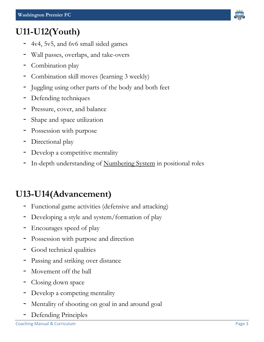# **U11-U12(Youth)**

- 4v4, 5v5, and 6v6 small sided games
- Wall passes, overlaps, and take-overs
- Combination play
- Combination skill moves (learning 3 weekly)
- Juggling using other parts of the body and both feet
- Defending techniques
- Pressure, cover, and balance
- Shape and space utilization
- Possession with purpose
- Directional play
- Develop a competitive mentality
- In-depth understanding of Numbering System in positional roles

# **U13-U14(Advancement)**

- Functional game activities (defensive and attacking)
- Developing a style and system/formation of play
- Encourages speed of play
- Possession with purpose and direction
- Good technical qualities
- Passing and striking over distance
- Movement off the ball
- Closing down space
- Develop a competing mentality
- Mentality of shooting on goal in and around goal
- Defending Principles

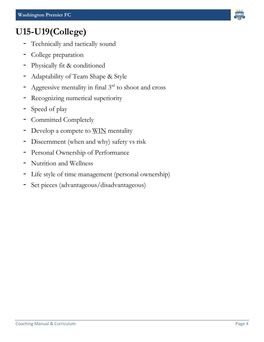

## **U15-U19(College)**

- Technically and tactically sound
- College preparation
- Physically fit & conditioned
- Adaptability of Team Shape & Style
- Aggressive mentality in final  $3<sup>rd</sup>$  to shoot and cross
- Recognizing numerical superiority
- Speed of play
- Committed Completely
- Develop a compete to WIN mentality
- Discernment (when and why) safety vs risk
- Personal Ownership of Performance
- Nutrition and Wellness
- Life style of time management (personal ownership)
- Set pieces (advantageous/disadvantageous)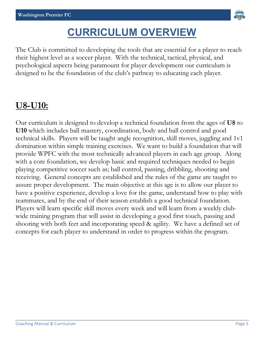

# **CURRICULUM OVERVIEW**

The Club is committed to developing the tools that are essential for a player to reach their highest level as a soccer player. With the technical, tactical, physical, and psychological aspects being paramount for player development our curriculum is designed to be the foundation of the club's pathway to educating each player.

#### **U8-U10:**

Our curriculum is designed to develop a technical foundation from the ages of **U8** to **U10** which includes ball mastery, coordination, body and ball control and good technical skills. Players will be taught angle recognition, skill moves, juggling and 1v1 domination within simple training exercises. We want to build a foundation that will provide WPFC with the most technically advanced players in each age group. Along with a core foundation, we develop basic and required techniques needed to begin playing competitive soccer such as; ball control, passing, dribbling, shooting and receiving. General concepts are established and the rules of the game are taught to assure proper development. The main objective at this age is to allow our player to have a positive experience, develop a love for the game, understand how to play with teammates, and by the end of their season establish a good technical foundation. Players will learn specific skill moves every week and will learn from a weekly clubwide training program that will assist in developing a good first touch, passing and shooting with both feet and incorporating speed & agility. We have a defined set of concepts for each player to understand in order to progress within the program.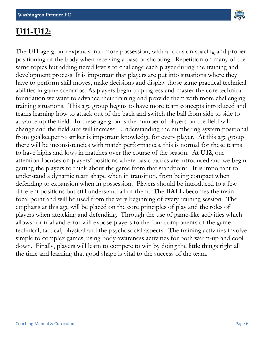

#### **U11-U12:**

The **U11** age group expands into more possession, with a focus on spacing and proper positioning of the body when receiving a pass or shooting. Repetition on many of the same topics but adding tiered levels to challenge each player during the training and development process. It is important that players are put into situations where they have to perform skill moves, make decisions and display those same practical technical abilities in game scenarios. As players begin to progress and master the core technical foundation we want to advance their training and provide them with more challenging training situations. This age group begins to have more team concepts introduced and teams learning how to attack out of the back and switch the ball from side to side to advance up the field. In these age groups the number of players on the field will change and the field size will increase. Understanding the numbering system positional from goalkeeper to striker is important knowledge for every player. At this age group there will be inconsistencies with match performances, this is normal for these teams to have highs and lows in matches over the course of the season. At **U12**, our attention focuses on players' positions where basic tactics are introduced and we begin getting the players to think about the game from that standpoint. It is important to understand a dynamic team shape when in transition, from being compact when defending to expansion when in possession. Players should be introduced to a few different positions but still understand all of them. The **BALL** becomes the main focal point and will be used from the very beginning of every training session. The emphasis at this age will be placed on the core principles of play and the roles of players when attacking and defending. Through the use of game-like activities which allows for trial and error will expose players to the four components of the game; technical, tactical, physical and the psychosocial aspects. The training activities involve simple to complex games, using body awareness activities for both warm-up and cool down. Finally, players will learn to compete to win by doing the little things right all the time and learning that good shape is vital to the success of the team.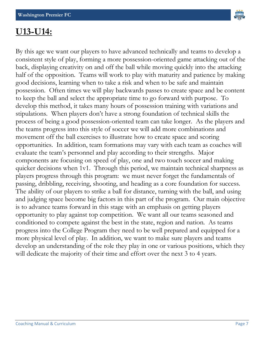

#### **U13-U14:**

By this age we want our players to have advanced technically and teams to develop a consistent style of play, forming a more possession-oriented game attacking out of the back, displaying creativity on and off the ball while moving quickly into the attacking half of the opposition. Teams will work to play with maturity and patience by making good decisions, learning when to take a risk and when to be safe and maintain possession. Often times we will play backwards passes to create space and be content to keep the ball and select the appropriate time to go forward with purpose. To develop this method, it takes many hours of possession training with variations and stipulations. When players don't have a strong foundation of technical skills the process of being a good possession-oriented team can take longer. As the players and the teams progress into this style of soccer we will add more combinations and movement off the ball exercises to illustrate how to create space and scoring opportunities. In addition, team formations may vary with each team as coaches will evaluate the team's personnel and play according to their strengths. Major components are focusing on speed of play, one and two touch soccer and making quicker decisions when 1v1. Through this period, we maintain technical sharpness as players progress through this program: we must never forget the fundamentals of passing, dribbling, receiving, shooting, and heading as a core foundation for success. The ability of our players to strike a ball for distance, turning with the ball, and using and judging space become big factors in this part of the program. Our main objective is to advance teams forward in this stage with an emphasis on getting players opportunity to play against top competition. We want all our teams seasoned and conditioned to compete against the best in the state, region and nation. As teams progress into the College Program they need to be well prepared and equipped for a more physical level of play. In addition, we want to make sure players and teams develop an understanding of the role they play in one or various positions, which they will dedicate the majority of their time and effort over the next 3 to 4 years.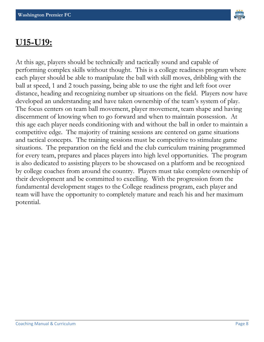

#### **U15-U19:**

At this age, players should be technically and tactically sound and capable of performing complex skills without thought. This is a college readiness program where each player should be able to manipulate the ball with skill moves, dribbling with the ball at speed, 1 and 2 touch passing, being able to use the right and left foot over distance, heading and recognizing number up situations on the field. Players now have developed an understanding and have taken ownership of the team's system of play. The focus centers on team ball movement, player movement, team shape and having discernment of knowing when to go forward and when to maintain possession. At this age each player needs conditioning with and without the ball in order to maintain a competitive edge. The majority of training sessions are centered on game situations and tactical concepts. The training sessions must be competitive to stimulate game situations. The preparation on the field and the club curriculum training programmed for every team, prepares and places players into high level opportunities. The program is also dedicated to assisting players to be showcased on a platform and be recognized by college coaches from around the country. Players must take complete ownership of their development and be committed to excelling. With the progression from the fundamental development stages to the College readiness program, each player and team will have the opportunity to completely mature and reach his and her maximum potential.